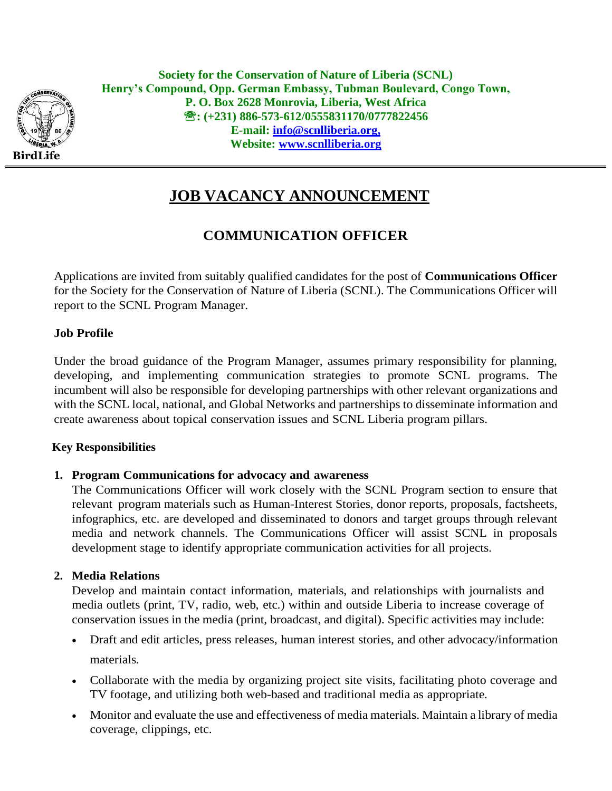

**Society for the Conservation of Nature of Liberia (SCNL) Henry's Compound, Opp. German Embassy, Tubman Boulevard, Congo Town, P. O. Box 2628 Monrovia, Liberia, West Africa : (+231) 886-573-612/0555831170/0777822456 E-mail: info[@scnlliberia.org,](mailto:scnlliberia@yahoo.com) Website: [www.scnlliberia.org](http://www.scnlliberia.org/)**

# **JOB VACANCY ANNOUNCEMENT**

# **COMMUNICATION OFFICER**

Applications are invited from suitably qualified candidates for the post of **Communications Officer**  for the Society for the Conservation of Nature of Liberia (SCNL). The Communications Officer will report to the SCNL Program Manager.

#### **Job Profile**

Under the broad guidance of the Program Manager, assumes primary responsibility for planning, developing, and implementing communication strategies to promote SCNL programs. The incumbent will also be responsible for developing partnerships with other relevant organizations and with the SCNL local, national, and Global Networks and partnerships to disseminate information and create awareness about topical conservation issues and SCNL Liberia program pillars.

#### **Key Responsibilities**

#### **1. Program Communications for advocacy and awareness**

The Communications Officer will work closely with the SCNL Program section to ensure that relevant program materials such as Human-Interest Stories, donor reports, proposals, factsheets, infographics, etc. are developed and disseminated to donors and target groups through relevant media and network channels. The Communications Officer will assist SCNL in proposals development stage to identify appropriate communication activities for all projects.

### **2. Media Relations**

Develop and maintain contact information, materials, and relationships with journalists and media outlets (print, TV, radio, web, etc.) within and outside Liberia to increase coverage of conservation issues in the media (print, broadcast, and digital). Specific activities may include:

- Draft and edit articles, press releases, human interest stories, and other advocacy/information materials.
- Collaborate with the media by organizing project site visits, facilitating photo coverage and TV footage, and utilizing both web-based and traditional media as appropriate.
- Monitor and evaluate the use and effectiveness of media materials. Maintain a library of media coverage, clippings, etc.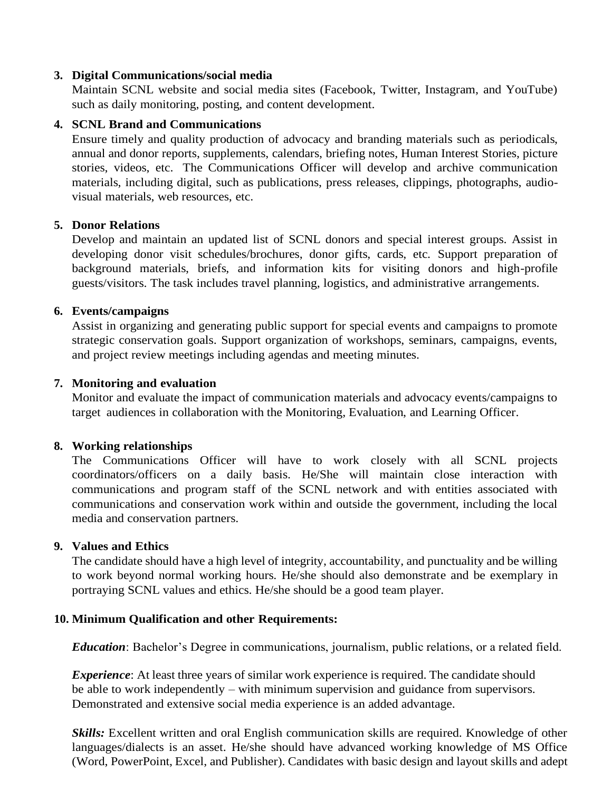#### **3. Digital Communications/social media**

Maintain SCNL website and social media sites (Facebook, Twitter, Instagram, and YouTube) such as daily monitoring, posting, and content development.

#### **4. SCNL Brand and Communications**

Ensure timely and quality production of advocacy and branding materials such as periodicals, annual and donor reports, supplements, calendars, briefing notes, Human Interest Stories, picture stories, videos, etc. The Communications Officer will develop and archive communication materials, including digital, such as publications, press releases, clippings, photographs, audiovisual materials, web resources, etc.

#### **5. Donor Relations**

Develop and maintain an updated list of SCNL donors and special interest groups. Assist in developing donor visit schedules/brochures, donor gifts, cards, etc. Support preparation of background materials, briefs, and information kits for visiting donors and high-profile guests/visitors. The task includes travel planning, logistics, and administrative arrangements.

#### **6. Events/campaigns**

Assist in organizing and generating public support for special events and campaigns to promote strategic conservation goals. Support organization of workshops, seminars, campaigns, events, and project review meetings including agendas and meeting minutes.

#### **7. Monitoring and evaluation**

Monitor and evaluate the impact of communication materials and advocacy events/campaigns to target audiences in collaboration with the Monitoring, Evaluation, and Learning Officer.

#### **8. Working relationships**

The Communications Officer will have to work closely with all SCNL projects coordinators/officers on a daily basis. He/She will maintain close interaction with communications and program staff of the SCNL network and with entities associated with communications and conservation work within and outside the government, including the local media and conservation partners.

#### **9. Values and Ethics**

The candidate should have a high level of integrity, accountability, and punctuality and be willing to work beyond normal working hours. He/she should also demonstrate and be exemplary in portraying SCNL values and ethics. He/she should be a good team player.

#### **10. Minimum Qualification and other Requirements:**

*Education*: Bachelor's Degree in communications, journalism, public relations, or a related field.

*Experience*: At least three years of similar work experience is required. The candidate should be able to work independently – with minimum supervision and guidance from supervisors. Demonstrated and extensive social media experience is an added advantage.

*Skills:* Excellent written and oral English communication skills are required. Knowledge of other languages/dialects is an asset. He/she should have advanced working knowledge of MS Office (Word, PowerPoint, Excel, and Publisher). Candidates with basic design and layout skills and adept